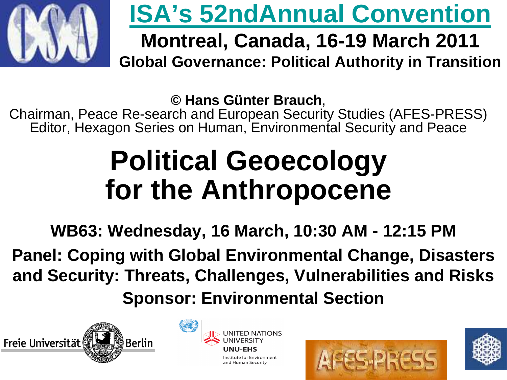

### **ISA's 52ndAnnual Convention**

### **Montreal, Canada, 16-19 March 2011Global Governance: Political Authority in Transition**

**© Hans Günter Brauch**,

Chairman, Peace Re-search and European Security Studies (AFES-PRESS)Editor, Hexagon Series on Human, Environmental Security and Peace

## **Political Geoecology for the Anthropocene**

**WB63: Wednesday, 16 March, 10:30 AM - 12:15 PM Panel: Coping with Global Environmental Change, Disasters and Security: Threats, Challenges, Vulnerabilities and RisksSponsor: Environmental Section**







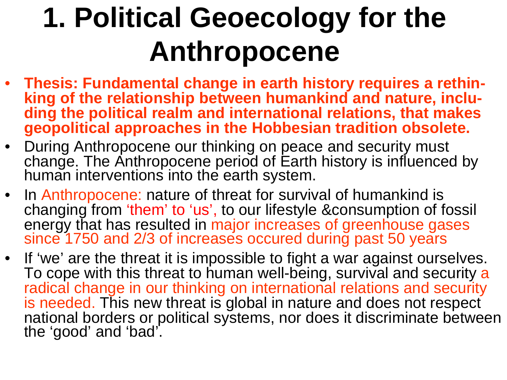# **1. Political Geoecology for theAnthropocene**

- **Thesis: Fundamental change in earth history requires a rethinking of the relationship between humankind and nature, including the political realm and international relations, that makesgeopolitical approaches in the Hobbesian tradition obsolete.**
- During Anthropocene our thinking on peace and security must change. The Anthropocene period of Earth history is influenced by human interventions into the earth system.
- In Anthropocene: nature of threat for survival of humankind is changing from 'them' to 'us', to our lifestyle &consumption of fossil energy that has resulted in major increases of greenhouse gases since 1750 and 2/3 of increases occured during past 50 years
- If 'we' are the threat it is impossible to fight a war against ourselves. To cope with this threat to human well-being, survival and security a<br>radical change in our thinking on international relations and security is needed. This new threat is global in nature and does not respect national borders or political systems, nor does it discriminate between<br>the 'good' and 'bad'.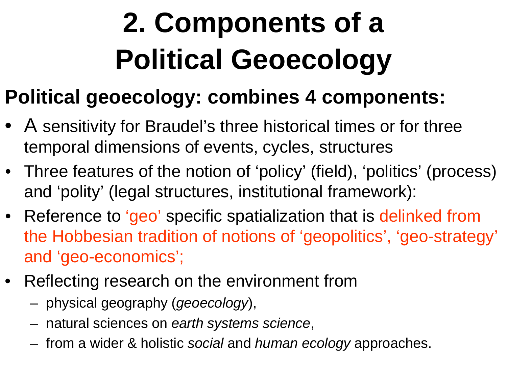# **2. Components of a Political Geoecology**

### **Political geoecology: combines 4 components:**

- A sensitivity for Braudel's three historical times or for three temporal dimensions of events, cycles, structures
- Three features of the notion of 'policy' (field), 'politics' (process) and 'polity' (legal structures, institutional framework):
- Reference to 'geo' specific spatialization that is delinked from the Hobbesian tradition of notions of 'geopolitics', 'geo-strategy' and 'geo-economics';
- Reflecting research on the environment from
	- physical geography (geoecology),
	- natural sciences on earth systems science,
	- from a wider & holistic social and human ecology approaches.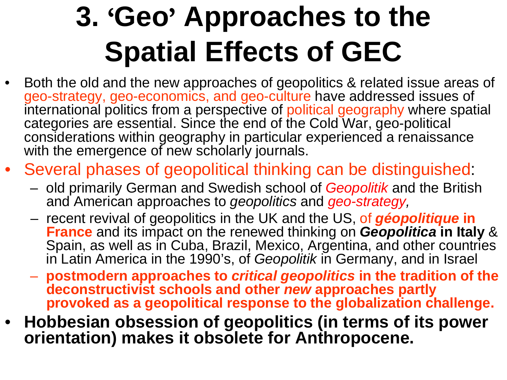# **3.** '**Geo**' **Approaches to the Spatial Effects of GEC**

- Both the old and the new approaches of geopolitics & related issue areas of •geo-strategy, geo-economics, and geo-culture have addressed issues of international politics from a perspective of political geography where spatial categories are essential. Since the end of the Cold War, geo-political considerations within geography in particular experienced a renaissance with the emergence of new scholarly journals.
- • Several phases of geopolitical thinking can be distinguished:
	- old primarily German and Swedish school of Geopolitik and the British and American approaches to *geopolitics* and *geo-strategy,*
	- recent revival of geopolitics in the UK and the US, of **géopolitique in France** and its impact on the renewed thinking on **Geopolitica in Italy** & Spain, as well as in Cuba, Brazil, Mexico, Argentina, and other countries in Latin America in the 1990's, of Geopolitik in Germany, and in Israel
	- **postmodern approaches to critical geopolitics in the tradition of the deconstructivist schools and other new approaches partly provoked as a geopolitical response to the globalization challenge.**
- **Hobbesian obsession of geopolitics (in terms of its power orientation) makes it obsolete for Anthropocene.**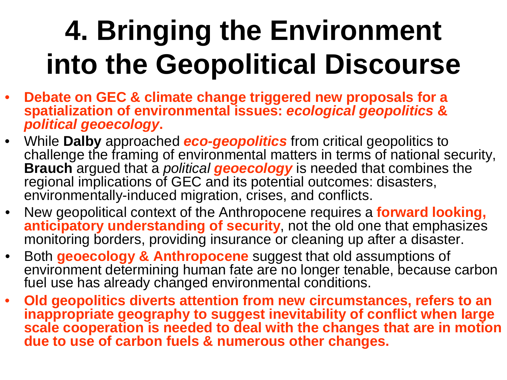# **4. Bringing the Environment into the Geopolitical Discourse**

- **Debate on GEC & climate change triggered new proposals for a**  •**spatialization of environmental issues: ecological geopolitics & political geoecology.**
- $\bullet$ While **Dalby** approached **eco-geopolitics** from critical geopolitics to challenge the framing of environmental matters in terms of national security, **Brauch** argued that a political **geoecology** is needed that combines the regional implications of GEC and its potential outcomes: disasters, environmentally-induced migration, crises, and conflicts.
- • New geopolitical context of the Anthropocene requires a **forward looking, anticipatory understanding of security**, not the old one that emphasizes monitoring borders, providing insurance or cleaning up after a disaster.
- • Both **geoecology & Anthropocene** suggest that old assumptions of environment determining human fate are no longer tenable, because carbon fuel use has already changed environmental conditions.
- $\bullet$  **Old geopolitics diverts attention from new circumstances, refers to an inappropriate geography to suggest inevitability of conflict when large scale cooperation is needed to deal with the changes that are in motion due to use of carbon fuels & numerous other changes.**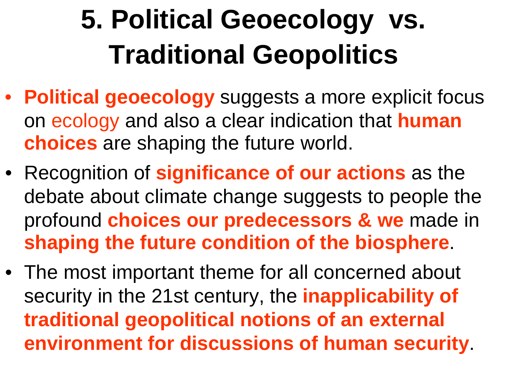# **5. Political Geoecology vs. Traditional Geopolitics**

- **Political geoecology** suggests a more explicit focus on ecology and also a clear indication that **human choices** are shaping the future world.
- Recognition of **significance of our actions** as the debate about climate change suggests to people the profound **choices our predecessors & we** made in **shaping the future condition of the biosphere**.
- The most important theme for all concerned about security in the 21st century, the **inapplicability of traditional geopolitical notions of an external environment for discussions of human security**.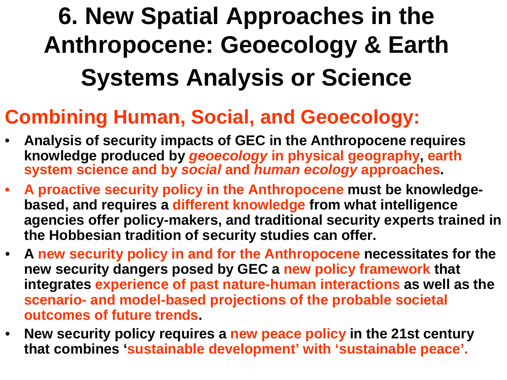### **6. New Spatial Approaches in the Anthropocene: Geoecology & Earth Systems Analysis or Science**

### **Combining Human, Social, and Geoecology:**

- • **Analysis of security impacts of GEC in the Anthropocene requires knowledge produced by geoecology in physical geography, earth system science and by social and human ecology approaches.**
- • **A proactive security policy in the Anthropocene must be knowledgebased, and requires a different knowledge from what intelligence agencies offer policy-makers, and traditional security experts trained in the Hobbesian tradition of security studies can offer.**
- • **A new security policy in and for the Anthropocene necessitates for the new security dangers posed by GEC a new policy framework that integrates experience of past nature-human interactions as well as the scenario- and model-based projections of the probable societal outcomes of future trends.**
- $\bullet$  **New security policy requires a new peace policy in the 21st century that combines 'sustainable development' with 'sustainable peace'.**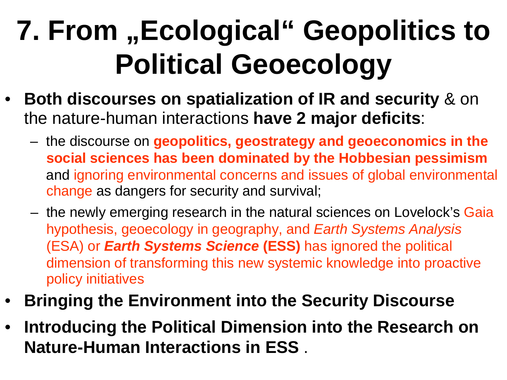# **7. From "Ecological" Geopolitics to Political Geoecology**

- **Both discourses on spatialization of IR and security** & on the nature-human interactions **have 2 major deficits**:
	- the discourse on **geopolitics, geostrategy and geoeconomics in the social sciences has been dominated by the Hobbesian pessimism**and ignoring environmental concerns and issues of global environmental change as dangers for security and survival;
	- the newly emerging research in the natural sciences on Lovelock's Gaia hypothesis, geoecology in geography, and Earth Systems Analysis(ESA) or **Earth Systems Science (ESS)** has ignored the political dimension of transforming this new systemic knowledge into proactive policy initiatives
- •**Bringing the Environment into the Security Discourse**
- • **Introducing the Political Dimension into the Research on Nature-Human Interactions in ESS**.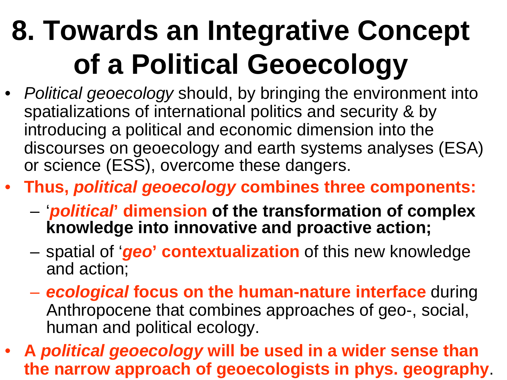# **8. Towards an Integrative Conceptof a Political Geoecology**

- Political geoecology should, by bringing the environment into spatializations of international politics and security & by introducing a political and economic dimension into the discourses on geoecology and earth systems analyses (ESA) or science (ESS), overcome these dangers.
- **Thus, political geoecology combines three components:**
	- '**political' dimension of the transformation of complex knowledge into innovative and proactive action;**
	- spatial of '**geo' contextualization** of this new knowledge and action;
	- – **ecological focus on the human-nature interface** during Anthropocene that combines approaches of geo-, social, human and political ecology.
- **<sup>A</sup>political geoecology will be used in a wider sense than the narrow approach of geoecologists in phys. geography**.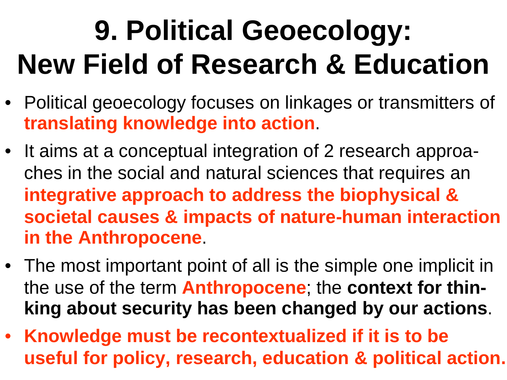# **9. Political Geoecology: New Field of Research & Education**

- Political geoecology focuses on linkages or transmitters of **translating knowledge into action**.
- It aims at a conceptual integration of 2 research approaches in the social and natural sciences that requires an **integrative approach to address the biophysical & societal causes & impacts of nature-human interaction in the Anthropocene**.
- The most important point of all is the simple one implicit in the use of the term **Anthropocene**; the **context for thinking about security has been changed by our actions**.
- **Knowledge must be recontextualized if it is to be useful for policy, research, education & political action.**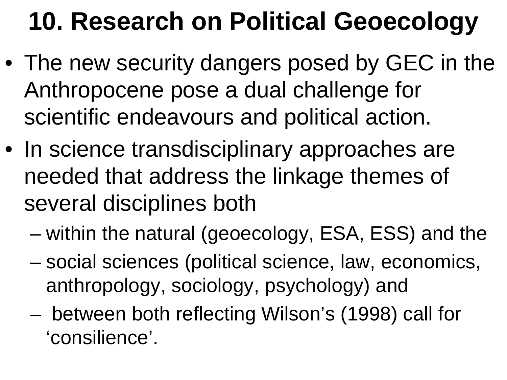## **10. Research on Political Geoecology**

- The new security dangers posed by GEC in the Anthropocene pose a dual challenge for scientific endeavours and political action.
- In science transdisciplinary approaches are needed that address the linkage themes of several disciplines both
	- within the natural (geoecology, ESA, ESS) and the
	- social sciences (political science, law, economics, anthropology, sociology, psychology) and
	- – between both reflecting Wilson's (1998) call for 'consilience'.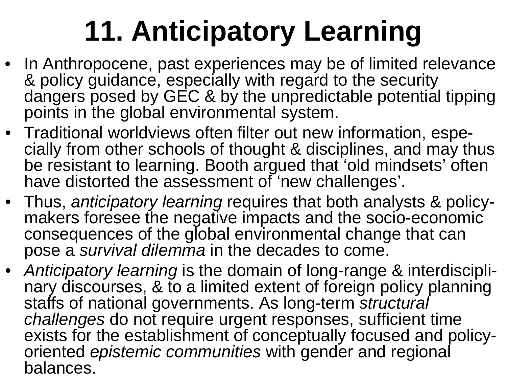# **11. Anticipatory Learning**

- In Anthropocene, past experiences may be of limited relevance & policy guidance, especially with regard to the security dangers posed by GEC & by the unpredictable potential tipping points in the global environmental system.
- Traditional worldviews often filter out new information, especially from other schools of thought & disciplines, and may thus be resistant to learning. Booth argued that 'old mindsets' often have distorted the assessment of 'new challenges'.
- Thus, *anticipatory learning* requires that both analysts & policymakers foresee the negative impacts and the socio-economic consequences of the global environmental change that can pose a survival dilemma in the decades to come.
- Anticipatory learning is the domain of long-range & interdisciplinary discourses, & to a limited extent of foreign policy planning staffs of national governments. As long-term s*tructural*<br>challenges do not require urgent responses, sufficient t challenges do not require urgent responses, sufficient time exists for the establishment of conceptually focused and policyoriented *epistemic communities* with gender and regional balances.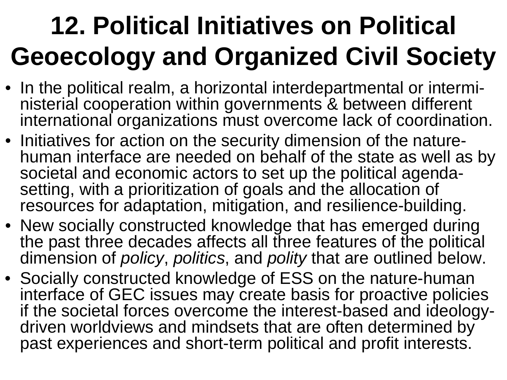## **12. Political Initiatives on Political Geoecology and Organized Civil Society**

- In the political realm, a horizontal interdepartmental or interministerial cooperation within governments & between different international organizations must overcome lack of coordination.
- Initiatives for action on the security dimension of the naturehuman interface are needed on behalf of the state as well as by societal and economic actors to set up the political agendasetting, with a prioritization of goals and the allocation of resources for adaptation, mitigation, and resilience-building.
- New socially constructed knowledge that has emerged during the past three decades affects all three features of the political dimension of *policy, politics,* and *polity* that are outlined below.
- Socially constructed knowledge of ESS on the nature-human interface of GEC issues may create basis for proactive policies if the societal forces overcome the interest-based and ideologydriven worldviews and mindsets that are often determined by past experiences and short-term political and profit interests.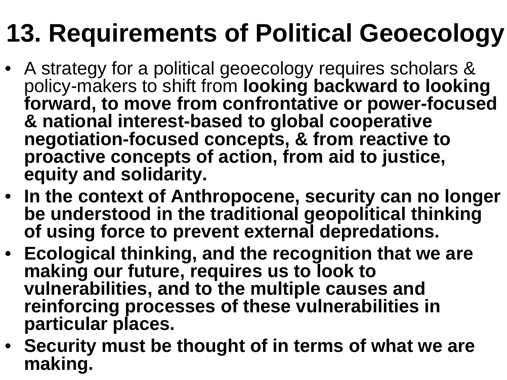## **13. Requirements of Political Geoecology**

- A strategy for a political geoecology requires scholars & policy-makers to shift from **looking backward to looking forward, to move from confrontative or power-focused& national interest-based to global cooperative negotiation-focused concepts, & from reactive to proactive concepts of action, from aid to justice, equity and solidarity.**
- **In the context of Anthropocene, security can no longer be understood in the traditional geopolitical thinking of using force to prevent external depredations.**
- **Ecological thinking, and the recognition that we are making our future, requires us to look to vulnerabilities, and to the multiple causes and reinforcing processes of these vulnerabilities in particular places.**
- **Security must be thought of in terms of what we aremaking.**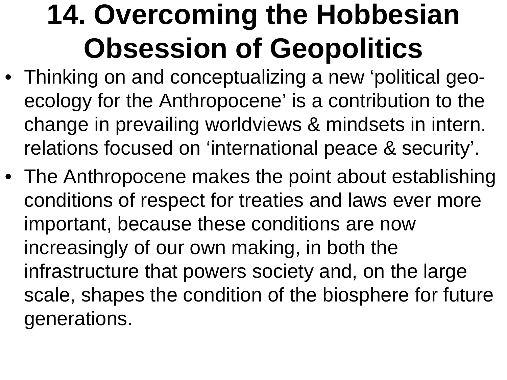# **14. Overcoming the Hobbesian Obsession of Geopolitics**

- Thinking on and conceptualizing a new 'political geoecology for the Anthropocene' is a contribution to the change in prevailing worldviews & mindsets in intern. relations focused on 'international peace & security'.
- The Anthropocene makes the point about establishing conditions of respect for treaties and laws ever more important, because these conditions are now increasingly of our own making, in both the infrastructure that powers society and, on the large scale, shapes the condition of the biosphere for future generations.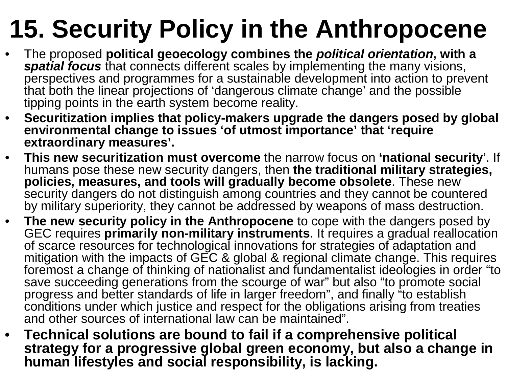## **15. Security Policy in the Anthropocene**

- The proposed **political geoecology combines the political orientation, with a**  •**spatial focus** that connects different scales by implementing the many visions,<br>parapectives and programmes for a quotainable development into estien to prov perspectives and programmes for a sustainable development into action to prevent that both the linear projections of 'dangerous climate change' and the possible tipping points in the earth system become reality.
- • **Securitization implies that policy-makers upgrade the dangers posed by global environmental change to issues 'of utmost importance' that 'require extraordinary measures'.**
- • **This new securitization must overcome** the narrow focus on **'national security**'. If humans pose these new security dangers, then **the traditional military strategies, policies, measures, and tools will gradually become obsolete**. These new security dangers do not distinguish among countries and they cannot be countered by military superiority, they cannot be addressed by weapons of mass destruction.
- The new security policy in the Anthropocene to cope with the dangers posed by<br>CEC requires primarily non military instruments, it requires a gradual realization  $\bullet$ GEC requires **primarily non-military instruments**. It requires a gradual reallocation<br>of scarce resources for technological innovations for strategies of adaptation and mitigation with the impacts of GEC & global & regional climate change. This requires foremost a change of thinking of nationalist and fundamentalist ideologies in order "to save succeeding generations from the scourge of war" but also "to promote social progress and better standards of life in larger freedom", and finally "to establish conditions under which justice and respect for the obligations arising from treaties and other sources of international law can be maintained".
- • **Technical solutions are bound to fail if a comprehensive political strategy for a progressive global green economy, but also a change in human lifestyles and social responsibility, is lacking.**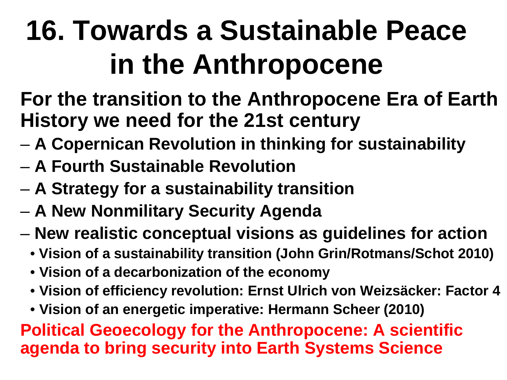# **16. Towards a Sustainable Peace in the Anthropocene**

**For the transition to the Anthropocene Era of EarthHistory we need for the 21st century**

- **A Copernican Revolution in thinking for sustainability**
- **A Fourth Sustainable Revolution**
- **A Strategy for a sustainability transition**
- **A New Nonmilitary Security Agenda**
- – **New realistic conceptual visions as guidelines for action**
	- **Vision of a sustainability transition (John Grin/Rotmans/Schot 2010)**
	- **Vision of a decarbonization of the economy**
	- **Vision of efficiency revolution: Ernst Ulrich von Weizsäcker: Factor 4**
	- **Vision of an energetic imperative: Hermann Scheer (2010)**

**Political Geoecology for the Anthropocene: A scientific agenda to bring security into Earth Systems Science**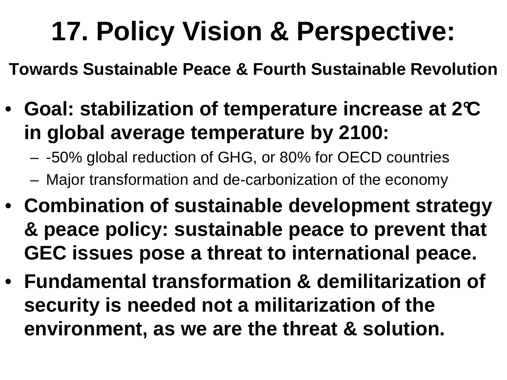## **17. Policy Vision & Perspective:**

**Towards Sustainable Peace & Fourth Sustainable Revolution**

- **Goal: stabilization of temperature increase at 2°C in global average temperature by 2100:**
	- –-50% global reduction of GHG, or 80% for OECD countries
	- –Major transformation and de-carbonization of the economy
- **Combination of sustainable development strategy & peace policy: sustainable peace to prevent that GEC issues pose a threat to international peace.**
- **Fundamental transformation & demilitarization of security is needed not a militarization of the environment, as we are the threat & solution.**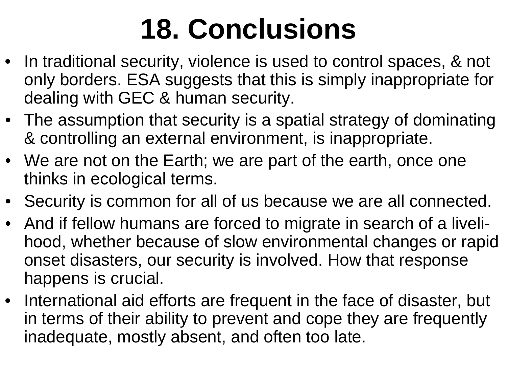# **18. Conclusions**

- In traditional security, violence is used to control spaces, & not only borders. ESA suggests that this is simply inappropriate fordealing with GEC & human security.
- The assumption that security is a spatial strategy of dominating& controlling an external environment, is inappropriate.
- We are not on the Earth; we are part of the earth, once one thinks in ecological terms.
- Security is common for all of us because we are all connected.
- And if fellow humans are forced to migrate in search of a livelihood, whether because of slow environmental changes or rapid onset disasters, our security is involved. How that responsehappens is crucial.
- International aid efforts are frequent in the face of disaster, but in terms of their ability to prevent and cope they are frequently inadequate, mostly absent, and often too late.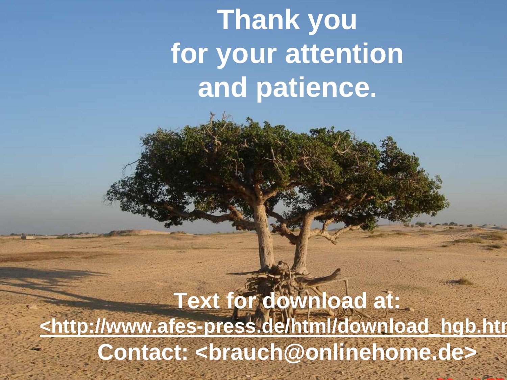## **Thank you for your attentionand patience.**

**Text for download at: <http://www.afes-press.de/html/download\_hgb.htmlContact: <brauch@onlinehome.de>**